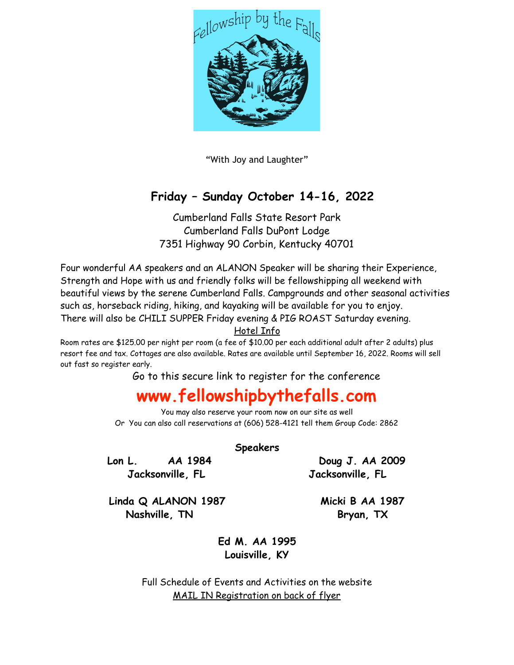

"With Joy and Laughter"

## **Friday – Sunday October 14-16, 2022**

Cumberland Falls State Resort Park Cumberland Falls DuPont Lodge 7351 Highway 90 Corbin, Kentucky 40701

Four wonderful AA speakers and an ALANON Speaker will be sharing their Experience, Strength and Hope with us and friendly folks will be fellowshipping all weekend with beautiful views by the serene Cumberland Falls. Campgrounds and other seasonal activities such as, horseback riding, hiking, and kayaking will be available for you to enjoy. There will also be CHILI SUPPER Friday evening & PIG ROAST Saturday evening.

Hotel Info

Room rates are \$125.00 per night per room (a fee of \$10.00 per each additional adult after 2 adults) plus resort fee and tax. Cottages are also available. Rates are available until September 16, 2022. Rooms will sell out fast so register early.

Go to this secure link to register for the conference

## **www.fellowshipbythefalls.com**

You may also reserve your room now on our site as well Or You can also call reservations at (606) 528-4121 tell them Group Code: 2862

**Speakers** 

**Lon L. AA 1984 Doug J. AA 2009 Jacksonville, FL Jacksonville, FL** 

**Linda Q ALANON 1987 Micki B AA 1987**  Nashville, TN Bryan, TX

**Ed M. AA 1995 Louisville, KY** 

Full Schedule of Events and Activities on the website MAIL IN Registration on back of flyer